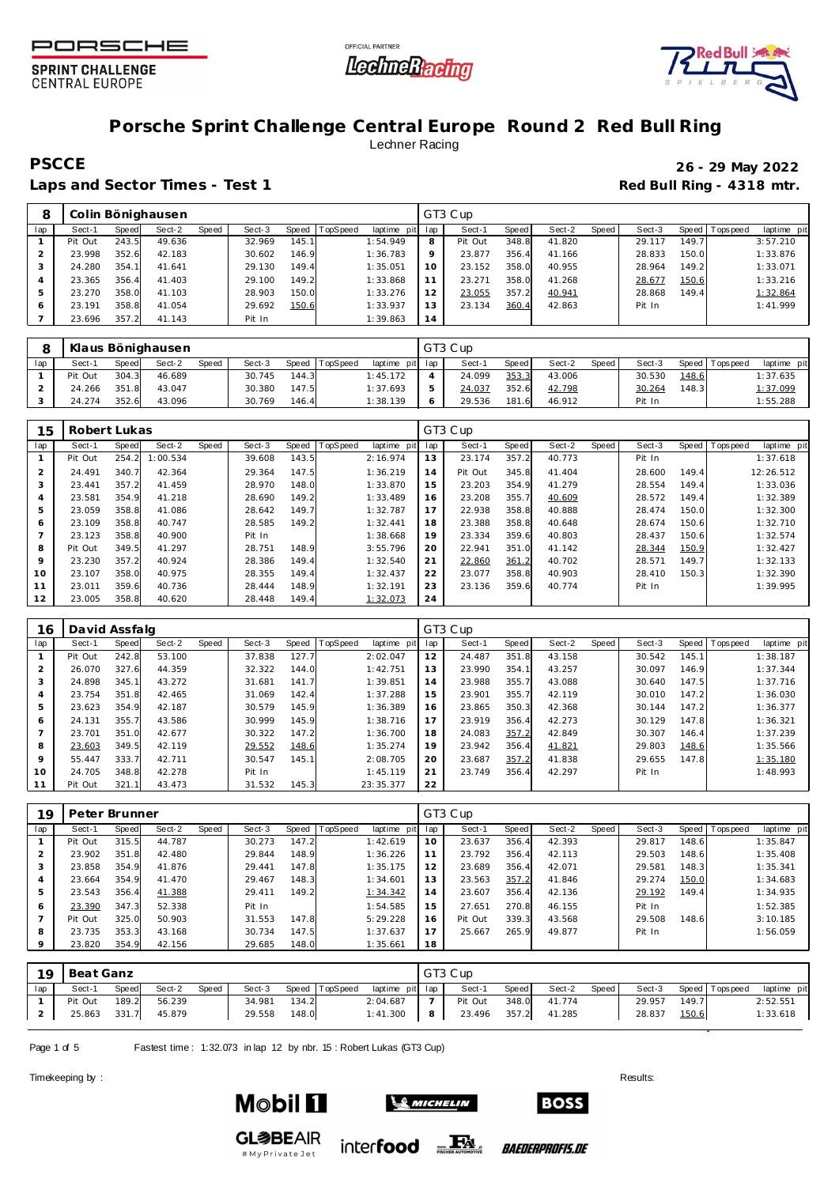





# **Porsche Sprint Challenge Central Europe Round 2 Red Bull Ring** Lechner Racing

**PSCCE 26 - 29 May 2022**

Laps and Sector Times - Test 1 **Red Bull Ring - 4318 mtr. Red Bull Ring - 4318 mtr.** 

| 8   |         |              | Colin Bönighausen |       |        |        |          |             |         | GT3 Cup |       |        |       |        |       |                |             |
|-----|---------|--------------|-------------------|-------|--------|--------|----------|-------------|---------|---------|-------|--------|-------|--------|-------|----------------|-------------|
| lap | Sect-1  | <b>Speed</b> | Sect-2            | Speed | Sect-3 | Speed  | TopSpeed | laptime pit | lap     | Sect-1  | Speed | Sect-2 | Speed | Sect-3 |       | Speed Topspeed | laptime pit |
|     | Pit Out | 243.5        | 49.636            |       | 32.969 | 145.11 |          | 1:54.949    | 8       | Pit Out | 348.8 | 41.820 |       | 29.117 | 149.7 |                | 3:57.210    |
|     | 23.998  | 352.6        | 42.183            |       | 30.602 | 146.9  |          | 1:36.783    | $\circ$ | 23.877  | 356.4 | 41.166 |       | 28.833 | 150.0 |                | 1:33.876    |
|     | 24.280  | 354.7        | 41.641            |       | 29.130 | 149.4  |          | 1:35.051    |         | 23.152  | 358.C | 40.955 |       | 28.964 | 149.2 |                | 1:33.071    |
|     | 23.365  | 356.4        | 41.403            |       | 29.100 | 149.2  |          | 1:33.868    |         | 23.271  | 358.C | 41.268 |       | 28.677 | 150.6 |                | 1:33.216    |
|     | 23.270  | 358.0        | 41.103            |       | 28.903 | 150.0  |          | 1:33.276    | 12      | 23.055  | 357.2 | 40.941 |       | 28.868 | 149.4 |                | 1:32.864    |
| 6   | 23.191  | 358.8        | 41.054            |       | 29.692 | 150.6  |          | 1:33.937    | 13      | 23.134  | 360.4 | 42.863 |       | Pit In |       |                | 1:41.999    |
|     | 23.696  | 357.2        | 41.143            |       | Pit In |        |          | 1:39.863    | 14      |         |       |        |       |        |       |                |             |

|     |         |       | Klaus Bönighausen |              |        |       |          |                 | GT3 Cup |              |        |       |        |       |                   |             |
|-----|---------|-------|-------------------|--------------|--------|-------|----------|-----------------|---------|--------------|--------|-------|--------|-------|-------------------|-------------|
| lap | Sect-1  | Speed | Sect-2            | <b>Speed</b> | Sect-3 | Speed | TopSpeed | laptime pit lap | Sect-1  | <b>Speed</b> | Sect-2 | Speed | Sect-3 |       | Speed   Tops peed | laptime pit |
|     | Pit Out | 304.3 | 46.689            |              | 30.745 | 144.3 |          | 1:45.172        | 24.099  | 353.3        | 43.006 |       | 30.530 | 148.6 |                   | 1:37.635    |
|     | 24.266  | 351.8 | 43.047            |              | 30.380 | 147.5 |          | 1:37.693        | 24.037  | 352.6        | 42.798 |       | 30.264 | 148.3 |                   | 1:37.099    |
|     | 24.274  | 352.6 | 43.096            |              | 30.769 | 146.4 |          | 1:38.139        | 29.536  | 181.6        | 46.912 |       | Pit In |       |                   | 1:55.288    |

| 15             | Robert Lukas |       |          |       |        |       |          |             |     | GT3 Cup |       |        |       |        |       |            |             |
|----------------|--------------|-------|----------|-------|--------|-------|----------|-------------|-----|---------|-------|--------|-------|--------|-------|------------|-------------|
| lap            | Sect-1       | Speed | Sect-2   | Speed | Sect-3 | Speed | TopSpeed | laptime pit | lap | Sect-1  | Speed | Sect-2 | Speed | Sect-3 | Speed | J Topspeed | laptime pit |
|                | Pit Out      | 254.2 | 1:00.534 |       | 39.608 | 143.5 |          | 2:16.974    | 13  | 23.174  | 357.2 | 40.773 |       | Pit In |       |            | 1:37.618    |
| $\overline{2}$ | 24.491       | 340.7 | 42.364   |       | 29.364 | 147.5 |          | 1:36.219    | 14  | Pit Out | 345.8 | 41.404 |       | 28.600 | 149.4 |            | 12:26.512   |
| 3              | 23.441       | 357.2 | 41.459   |       | 28.970 | 148.0 |          | 1:33.870    | 15  | 23.203  | 354.9 | 41.279 |       | 28.554 | 149.4 |            | 1:33.036    |
| 4              | 23.581       | 354.9 | 41.218   |       | 28.690 | 149.2 |          | 1:33.489    | 16  | 23.208  | 355.7 | 40.609 |       | 28.572 | 149.4 |            | 1:32.389    |
| 5              | 23.059       | 358.8 | 41.086   |       | 28.642 | 149.7 |          | 1:32.787    | 17  | 22.938  | 358.8 | 40.888 |       | 28.474 | 150.0 |            | 1:32.300    |
| 6              | 23.109       | 358.8 | 40.747   |       | 28.585 | 149.2 |          | 1:32.441    | 18  | 23.388  | 358.8 | 40.648 |       | 28.674 | 150.6 |            | 1:32.710    |
|                | 23.123       | 358.8 | 40.900   |       | Pit In |       |          | 1:38.668    | 19  | 23.334  | 359.6 | 40.803 |       | 28.437 | 150.6 |            | 1:32.574    |
| 8              | Pit Out      | 349.5 | 41.297   |       | 28.751 | 148.9 |          | 3:55.796    | 20  | 22.941  | 351.0 | 41.142 |       | 28.344 | 150.9 |            | 1:32.427    |
| 9              | 23.230       | 357.2 | 40.924   |       | 28.386 | 149.4 |          | 1:32.540    | 21  | 22.860  | 361.2 | 40.702 |       | 28.571 | 149.7 |            | 1:32.133    |
| 10             | 23.107       | 358.0 | 40.975   |       | 28.355 | 149.4 |          | 1:32.437    | 22  | 23.077  | 358.8 | 40.903 |       | 28.410 | 150.3 |            | 1:32.390    |
| 11             | 23.011       | 359.6 | 40.736   |       | 28.444 | 148.9 |          | 1:32.191    | 23  | 23.136  | 359.6 | 40.774 |       | Pit In |       |            | 1:39.995    |
| 12             | 23.005       | 358.8 | 40.620   |       | 28.448 | 149.4 |          | 1:32.073    | 24  |         |       |        |       |        |       |            |             |

| 16      | David Assfalg |              |        |       |        |       |                |             |     | GT3 Cup |       |        |       |        |       |                 |             |
|---------|---------------|--------------|--------|-------|--------|-------|----------------|-------------|-----|---------|-------|--------|-------|--------|-------|-----------------|-------------|
| lap     | Sect-1        | <b>Speed</b> | Sect-2 | Speed | Sect-3 |       | Speed TopSpeed | laptime pit | lap | Sect-1  | Speed | Sect-2 | Speed | Sect-3 |       | Speed Tops peed | laptime pit |
|         | Pit Out       | 242.8        | 53.100 |       | 37.838 | 127.7 |                | 2:02.047    | 12  | 24.487  | 351.8 | 43.158 |       | 30.542 | 145.1 |                 | 1:38.187    |
|         | 26.070        | 327.6        | 44.359 |       | 32.322 | 144.0 |                | 1:42.751    | 13  | 23.990  | 354.1 | 43.257 |       | 30.097 | 146.9 |                 | 1:37.344    |
|         | 24.898        | 345.1        | 43.272 |       | 31.681 | 141.7 |                | 1:39.851    | 14  | 23.988  | 355.7 | 43.088 |       | 30.640 | 147.5 |                 | 1:37.716    |
| 4       | 23.754        | 351.8        | 42.465 |       | 31.069 | 142.4 |                | 1:37.288    | 15  | 23.901  | 355.7 | 42.119 |       | 30.010 | 147.2 |                 | 1:36.030    |
| 5       | 23.623        | 354.9        | 42.187 |       | 30.579 | 145.9 |                | 1:36.389    | 16  | 23.865  | 350.3 | 42.368 |       | 30.144 | 147.2 |                 | 1:36.377    |
| 6       | 24.131        | 355.7        | 43.586 |       | 30.999 | 145.9 |                | 1:38.716    | 17  | 23.919  | 356.4 | 42.273 |       | 30.129 | 147.8 |                 | 1:36.321    |
|         | 23.701        | 351.0        | 42.677 |       | 30.322 | 147.2 |                | 1:36.700    | 18  | 24.083  | 357.2 | 42.849 |       | 30.307 | 146.4 |                 | 1:37.239    |
| 8       | 23.603        | 349.5        | 42.119 |       | 29.552 | 148.6 |                | 1:35.274    | 19  | 23.942  | 356.4 | 41.821 |       | 29.803 | 148.6 |                 | 1:35.566    |
| $\circ$ | 55.447        | 333.7        | 42.711 |       | 30.547 | 145.1 |                | 2:08.705    | 20  | 23.687  | 357.2 | 41.838 |       | 29.655 | 147.8 |                 | 1:35.180    |
| 10      | 24.705        | 348.8        | 42.278 |       | Pit In |       |                | 1:45.119    | 21  | 23.749  | 356.4 | 42.297 |       | Pit In |       |                 | 1:48.993    |
|         | Pit Out       | 321.1        | 43.473 |       | 31.532 | 145.3 |                | 23:35.377   | 22  |         |       |        |       |        |       |                 |             |

| 19  | Peter Brunner |       |        |       |        |       |          |                |     | GT3 Cup |       |        |       |        |       |                   |             |
|-----|---------------|-------|--------|-------|--------|-------|----------|----------------|-----|---------|-------|--------|-------|--------|-------|-------------------|-------------|
| lap | Sect-1        | Speed | Sect-2 | Speed | Sect-3 | Speed | TopSpeed | laptime<br>pit | lap | Sect-1  | Speed | Sect-2 | Speed | Sect-3 |       | Speed   Tops peed | laptime pit |
|     | Pit Out       | 315.5 | 44.787 |       | 30.273 | 147.2 |          | 1:42.619       | 10  | 23.637  | 356.4 | 42.393 |       | 29.817 | 148.6 |                   | 1:35.847    |
| ∠   | 23.902        | 351.8 | 42.480 |       | 29.844 | 148.9 |          | 1:36.226       | 11  | 23.792  | 356.4 | 42.113 |       | 29.503 | 148.6 |                   | 1:35.408    |
| 3   | 23.858        | 354.9 | 41.876 |       | 29.441 | 147.8 |          | 1:35.175       | 12  | 23.689  | 356.4 | 42.071 |       | 29.581 | 148.3 |                   | 1:35.341    |
| 4   | 23.664        | 354.9 | 41.470 |       | 29.467 | 148.3 |          | 1:34.601       | 13  | 23.563  | 357.2 | 41.846 |       | 29.274 | 150.0 |                   | 1:34.683    |
| 5   | 23.543        | 356.4 | 41.388 |       | 29.411 | 149.2 |          | 1:34.342       | 14  | 23.607  | 356.4 | 42.136 |       | 29.192 | 149.4 |                   | 1:34.935    |
| 6   | 23.390        | 347.3 | 52.338 |       | Pit In |       |          | 1:54.585       | 15  | 27.651  | 270.8 | 46.155 |       | Pit In |       |                   | 1:52.385    |
|     | Pit Out       | 325.0 | 50.903 |       | 31.553 | 147.8 |          | 5:29.228       | 16  | Pit Out | 339.3 | 43.568 |       | 29.508 | 148.6 |                   | 3:10.185    |
| 8   | 23.735        | 353.3 | 43.168 |       | 30.734 | 147.5 |          | 1:37.637       |     | 25.667  | 265.9 | 49.877 |       | Pit In |       |                   | 1:56.059    |
|     | 23.820        | 354.9 | 42.156 |       | 29.685 | 148.0 |          | 1:35.661       | 18  |         |       |        |       |        |       |                   |             |

| 19  | Beat Ganz |       |        |       |        |       |                 |                 |                | GT3 Cup |       |        |         |        |       |                   |             |
|-----|-----------|-------|--------|-------|--------|-------|-----------------|-----------------|----------------|---------|-------|--------|---------|--------|-------|-------------------|-------------|
| lap | Sect-1    | Speed | Sect-2 | Speed | Sect-3 | Speed | <b>TopSpeed</b> | laptime pit lap |                | Sect-1  | Speed | Sect-2 | Speed I | Sect-3 |       | Speed   Tops peed | laptime pit |
|     | Pit Out   | 189.2 | 56.239 |       | 34.981 | 134.2 |                 | 2:04.687        | 7 <sub>1</sub> | Pit Out | 348.0 | 41.774 |         | 29.957 | 149.7 |                   | 2:52.551    |
|     | 25.863    | 331.7 | 45.879 |       | 29.558 | 148.0 |                 | 1:41.300        | 8              | 23.496  | 357.2 | 41.285 |         | 28.837 | 150.6 |                   | 1:33.618    |

Page 1 of 5 Fastest time: 1:32.073 in lap 12 by nbr. 15: Robert Lukas (GT3 Cup)

Timekeeping by : Results:  $\blacksquare$ 

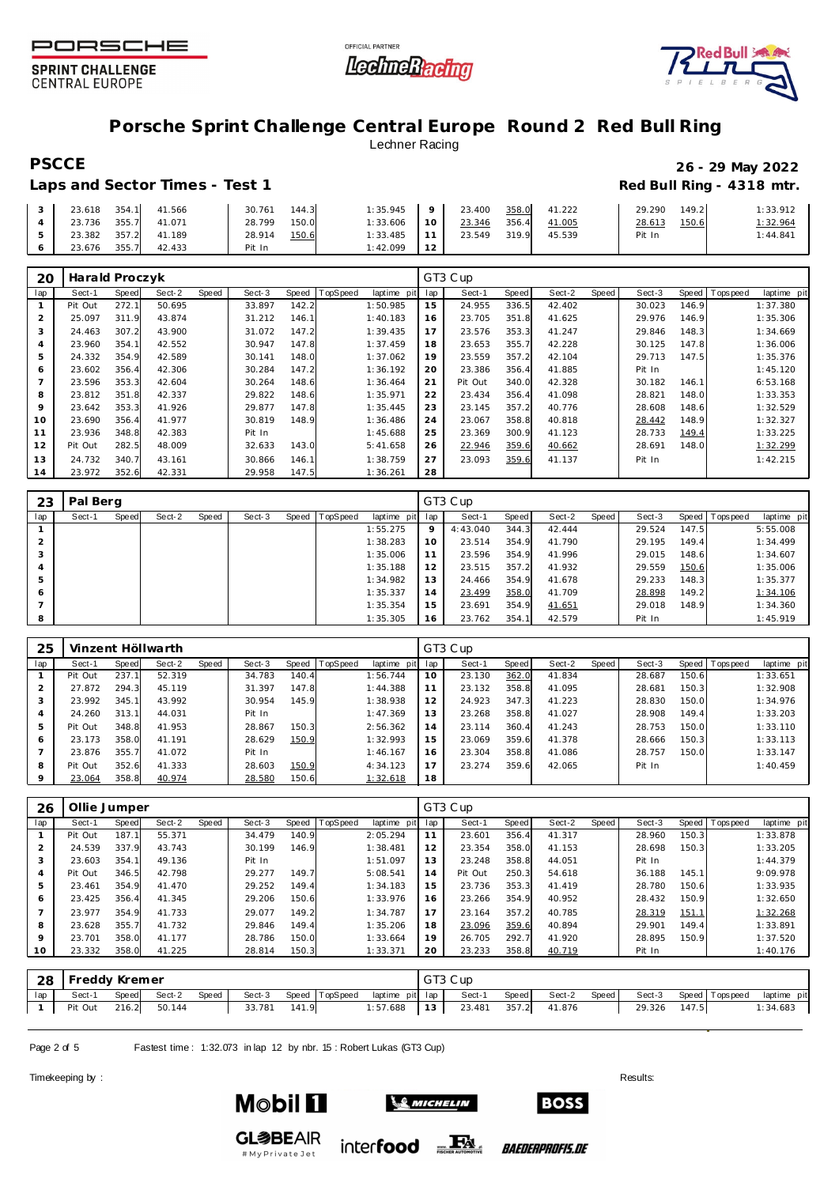





## **Porsche Sprint Challenge Central Europe Round 2 Red Bull Ring** Lechner Racing

### Laps and Sector Times - Test 1 **Red Bull Ring - 4318 mtr. Red Bull Ring - 4318 mtr.**

# **PSCCE 26 - 29 May 2022**

|  | 23.618 354.1 |           | 41.566              | 30.761 | 144.3 | 1:35.945 | $\sqrt{a}$      | 23.400 | 358.0 | 41.222 | 29.290 | 149.2 | 1:33.912 |
|--|--------------|-----------|---------------------|--------|-------|----------|-----------------|--------|-------|--------|--------|-------|----------|
|  |              |           | 23.736 355.7 41.071 | 28.799 | 150.0 | 1:33.606 | 10              | 23.346 | 356.4 | 41.005 | 28.613 | 150.6 | 1:32.964 |
|  | 23.382       | $357.2$ , | 41.189              | 28.914 | 150.6 | 1:33.485 |                 | 23.549 | 319.9 | 45.539 | Pit In |       | 1:44.841 |
|  | 23.676       | 355.7     | 42.433              | Pit In |       | 1:42.099 | 12 <sub>1</sub> |        |       |        |        |       |          |

| 20  | Harald Proczyk |       |        |       |        |       |                 |             |     | GT3 Cup |       |        |       |        |       |            |             |
|-----|----------------|-------|--------|-------|--------|-------|-----------------|-------------|-----|---------|-------|--------|-------|--------|-------|------------|-------------|
| lap | Sect-1         | Speed | Sect-2 | Speed | Sect-3 | Speed | <b>TopSpeed</b> | laptime pit | lap | Sect-1  | Speed | Sect-2 | Speed | Sect-3 | Speed | Tops pee d | laptime pit |
|     | Pit Out        | 272.1 | 50.695 |       | 33.897 | 142.2 |                 | 1:50.985    | 15  | 24.955  | 336.5 | 42.402 |       | 30.023 | 146.9 |            | 1:37.380    |
| 2   | 25.097         | 311.9 | 43.874 |       | 31.212 | 146.1 |                 | 1:40.183    | 16  | 23.705  | 351.8 | 41.625 |       | 29.976 | 146.9 |            | 1:35.306    |
| 3   | 24.463         | 307.2 | 43.900 |       | 31.072 | 147.2 |                 | 1:39.435    | 17  | 23.576  | 353.3 | 41.247 |       | 29.846 | 148.3 |            | 1:34.669    |
| 4   | 23.960         | 354.1 | 42.552 |       | 30.947 | 147.8 |                 | 1:37.459    | 18  | 23.653  | 355.7 | 42.228 |       | 30.125 | 147.8 |            | 1:36.006    |
| 5   | 24.332         | 354.9 | 42.589 |       | 30.141 | 148.0 |                 | 1:37.062    | 19  | 23.559  | 357.2 | 42.104 |       | 29.713 | 147.5 |            | 1:35.376    |
| 6   | 23.602         | 356.4 | 42.306 |       | 30.284 | 147.2 |                 | 1:36.192    | 20  | 23.386  | 356.4 | 41.885 |       | Pit In |       |            | 1:45.120    |
|     | 23.596         | 353.3 | 42.604 |       | 30.264 | 148.6 |                 | 1:36.464    | 21  | Pit Out | 340.0 | 42.328 |       | 30.182 | 146.1 |            | 6:53.168    |
| 8   | 23.812         | 351.8 | 42.337 |       | 29.822 | 148.6 |                 | 1:35.971    | 22  | 23.434  | 356.4 | 41.098 |       | 28.821 | 148.0 |            | 1:33.353    |
| 9   | 23.642         | 353.3 | 41.926 |       | 29.877 | 147.8 |                 | 1:35.445    | 23  | 23.145  | 357.2 | 40.776 |       | 28.608 | 148.6 |            | 1:32.529    |
| 10  | 23.690         | 356.4 | 41.977 |       | 30.819 | 148.9 |                 | 1:36.486    | 24  | 23.067  | 358.8 | 40.818 |       | 28.442 | 148.9 |            | 1:32.327    |
| 11  | 23.936         | 348.8 | 42.383 |       | Pit In |       |                 | 1:45.688    | 25  | 23.369  | 300.9 | 41.123 |       | 28.733 | 149.4 |            | 1:33.225    |
| 12  | Pit Out        | 282.5 | 48.009 |       | 32.633 | 143.0 |                 | 5:41.658    | 26  | 22.946  | 359.6 | 40.662 |       | 28.691 | 148.0 |            | 1:32.299    |
| 13  | 24.732         | 340.7 | 43.161 |       | 30.866 | 146.1 |                 | 1:38.759    | 27  | 23.093  | 359.6 | 41.137 |       | Pit In |       |            | 1:42.215    |
| 14  | 23.972         | 352.6 | 42.331 |       | 29.958 | 147.5 |                 | 1:36.261    | 28  |         |       |        |       |        |       |            |             |

| 23  | Pal Berg |       |        |       |        |       |          |             |         | GT3 Cup  |       |        |       |        |       |                   |             |
|-----|----------|-------|--------|-------|--------|-------|----------|-------------|---------|----------|-------|--------|-------|--------|-------|-------------------|-------------|
| lap | Sect-1   | Speed | Sect-2 | Speed | Sect-3 | Speed | TopSpeed | laptime pit | lap     | Sect-1   | Speed | Sect-2 | Speed | Sect-3 |       | Speed   Tops peed | laptime pit |
|     |          |       |        |       |        |       |          | 1:55.275    | $\circ$ | 4:43.040 | 344.3 | 42.444 |       | 29.524 | 147.5 |                   | 5:55.008    |
|     |          |       |        |       |        |       |          | 1:38.283    | 10      | 23.514   | 354.9 | 41.790 |       | 29.195 | 149.4 |                   | 1:34.499    |
| 3   |          |       |        |       |        |       |          | 1:35.006    |         | 23.596   | 354.9 | 41.996 |       | 29.015 | 148.6 |                   | 1:34.607    |
| 4   |          |       |        |       |        |       |          | 1:35.188    | 12      | 23.515   | 357.2 | 41.932 |       | 29.559 | 150.6 |                   | 1:35.006    |
| 5   |          |       |        |       |        |       |          | 1:34.982    | 13      | 24.466   | 354.9 | 41.678 |       | 29.233 | 148.3 |                   | 1:35.377    |
| 6   |          |       |        |       |        |       |          | 1:35.337    | 14      | 23.499   | 358.0 | 41.709 |       | 28.898 | 149.2 |                   | 1:34.106    |
|     |          |       |        |       |        |       |          | 1:35.354    | 15      | 23.691   | 354.9 | 41.651 |       | 29.018 | 148.9 |                   | 1:34.360    |
| 8   |          |       |        |       |        |       |          | 1:35.305    | 16      | 23.762   | 354.1 | 42.579 |       | Pit In |       |                   | 1:45.919    |

| 25      |         |       | Vinzent Höllwarth |       |        |       |          |             |                | GT3 Cup |       |        |       |        |       |                 |             |
|---------|---------|-------|-------------------|-------|--------|-------|----------|-------------|----------------|---------|-------|--------|-------|--------|-------|-----------------|-------------|
| lap     | Sect-1  | Speed | Sect-2            | Speed | Sect-3 | Speed | TopSpeed | laptime pit | lap            | Sect-1  | Speed | Sect-2 | Speed | Sect-3 |       | Speed Tops peed | laptime pit |
|         | Pit Out | 237.1 | 52.319            |       | 34.783 | 140.4 |          | 1:56.744    | 10             | 23.130  | 362.0 | 41.834 |       | 28.687 | 150.6 |                 | 1:33.651    |
| ∠       | 27.872  | 294.3 | 45.119            |       | 31.397 | 147.8 |          | 1:44.388    | 11             | 23.132  | 358.8 | 41.095 |       | 28.681 | 150.3 |                 | 1:32.908    |
| 3       | 23.992  | 345.1 | 43.992            |       | 30.954 | 145.9 |          | 1:38.938    | 12             | 24.923  | 347.3 | 41.223 |       | 28.830 | 150.0 |                 | 1:34.976    |
| 4       | 24.260  | 313.1 | 44.031            |       | Pit In |       |          | 1:47.369    | 13             | 23.268  | 358.8 | 41.027 |       | 28.908 | 149.4 |                 | 1:33.203    |
| 5       | Pit Out | 348.8 | 41.953            |       | 28.867 | 150.3 |          | 2:56.362    | 14             | 23.114  | 360.4 | 41.243 |       | 28.753 | 150.0 |                 | 1:33.110    |
| 6       | 23.173  | 358.0 | 41.191            |       | 28.629 | 150.9 |          | 1:32.993    | 15             | 23.069  | 359.6 | 41.378 |       | 28.666 | 150.3 |                 | 1:33.113    |
|         | 23.876  | 355.7 | 41.072            |       | Pit In |       |          | 1:46.167    | 16             | 23.304  | 358.8 | 41.086 |       | 28.757 | 150.0 |                 | 1:33.147    |
| 8       | Pit Out | 352.6 | 41.333            |       | 28.603 | 150.9 |          | 4:34.123    | $\overline{7}$ | 23.274  | 359.6 | 42.065 |       | Pit In |       |                 | 1:40.459    |
| $\circ$ | 23.064  | 358.8 | 40.974            |       | 28.580 | 150.6 |          | 1:32.618    | 18             |         |       |        |       |        |       |                 |             |

| 26      | Ollie Jumper |       |        |       |        |       |                 |                |     | GT3 Cup |       |        |       |        |       |                |             |
|---------|--------------|-------|--------|-------|--------|-------|-----------------|----------------|-----|---------|-------|--------|-------|--------|-------|----------------|-------------|
| lap     | Sect-1       | Speed | Sect-2 | Speed | Sect-3 | Speed | <b>TopSpeed</b> | laptime<br>pit | lap | Sect-1  | Speed | Sect-2 | Speed | Sect-3 |       | Speed Topspeed | laptime pit |
|         | Pit Out      | 187.  | 55.371 |       | 34.479 | 140.9 |                 | 2:05.294       | 11  | 23.601  | 356.4 | 41.317 |       | 28.960 | 150.3 |                | 1:33.878    |
|         | 24.539       | 337.9 | 43.743 |       | 30.199 | 146.9 |                 | 1:38.481       | 12  | 23.354  | 358.0 | 41.153 |       | 28.698 | 150.3 |                | 1:33.205    |
|         | 23.603       | 354.1 | 49.136 |       | Pit In |       |                 | 1:51.097       | 13  | 23.248  | 358.8 | 44.051 |       | Pit In |       |                | 1:44.379    |
|         | Pit Out      | 346.5 | 42.798 |       | 29.277 | 149.7 |                 | 5:08.541       | 14  | Pit Out | 250.3 | 54.618 |       | 36.188 | 145.1 |                | 9:09.978    |
|         | 23.461       | 354.9 | 41.470 |       | 29.252 | 149.4 |                 | 1:34.183       | 15  | 23.736  | 353.3 | 41.419 |       | 28.780 | 150.6 |                | 1:33.935    |
| 6       | 23.425       | 356.4 | 41.345 |       | 29.206 | 150.6 |                 | 1:33.976       | 16  | 23.266  | 354.9 | 40.952 |       | 28.432 | 150.9 |                | 1:32.650    |
|         | 23.977       | 354.9 | 41.733 |       | 29.077 | 149.2 |                 | 1:34.787       | 17  | 23.164  | 357.2 | 40.785 |       | 28.319 | 151.1 |                | 1:32.268    |
| 8       | 23.628       | 355.7 | 41.732 |       | 29.846 | 149.4 |                 | 1:35.206       | 18  | 23.096  | 359.6 | 40.894 |       | 29.901 | 149.4 |                | 1:33.891    |
| $\circ$ | 23.701       | 358.0 | 41.177 |       | 28.786 | 150.0 |                 | 1:33.664       | 19  | 26.705  | 292.7 | 41.920 |       | 28.895 | 150.9 |                | 1:37.520    |
| 10      | 23.332       | 358.0 | 41.225 |       | 28.814 | 150.3 |                 | 1:33.371       | 20  | 23.233  | 358.8 | 40.719 |       | Pit In |       |                | 1:40.176    |

|     | 28 Freddy Kremer |       |              |       |        |       |                |                                     | GT3 Cup |       |        |       |              |                       |             |
|-----|------------------|-------|--------------|-------|--------|-------|----------------|-------------------------------------|---------|-------|--------|-------|--------------|-----------------------|-------------|
| lap | Sect-1           | Speed | Sect-2       | Speed | Sect-3 |       | Speed TopSpeed | laptime pit lap                     | Sect-1  | Speed | Sect-2 | Speed |              | Sect-3 Speed Topspeed | laptime pit |
|     | Pit Out          |       | 216.2 50.144 |       | 33.781 | 141.9 |                | 1:57.688   13   23.481 357.2 41.876 |         |       |        |       | 29.326 147.5 |                       | 1:34.683    |

Page 2 of 5 Fastest time: 1:32.073 in lap 12 by nbr. 15: Robert Lukas (GT3 Cup)

#MyPrivateJet

Timekeeping by : Results:  $\blacksquare$ 

**Mobil 11**  $\mathcal{L}$  Michelin **GL参BEAIR** 



inter**food** EX

*BAEDERPROFIS.DE*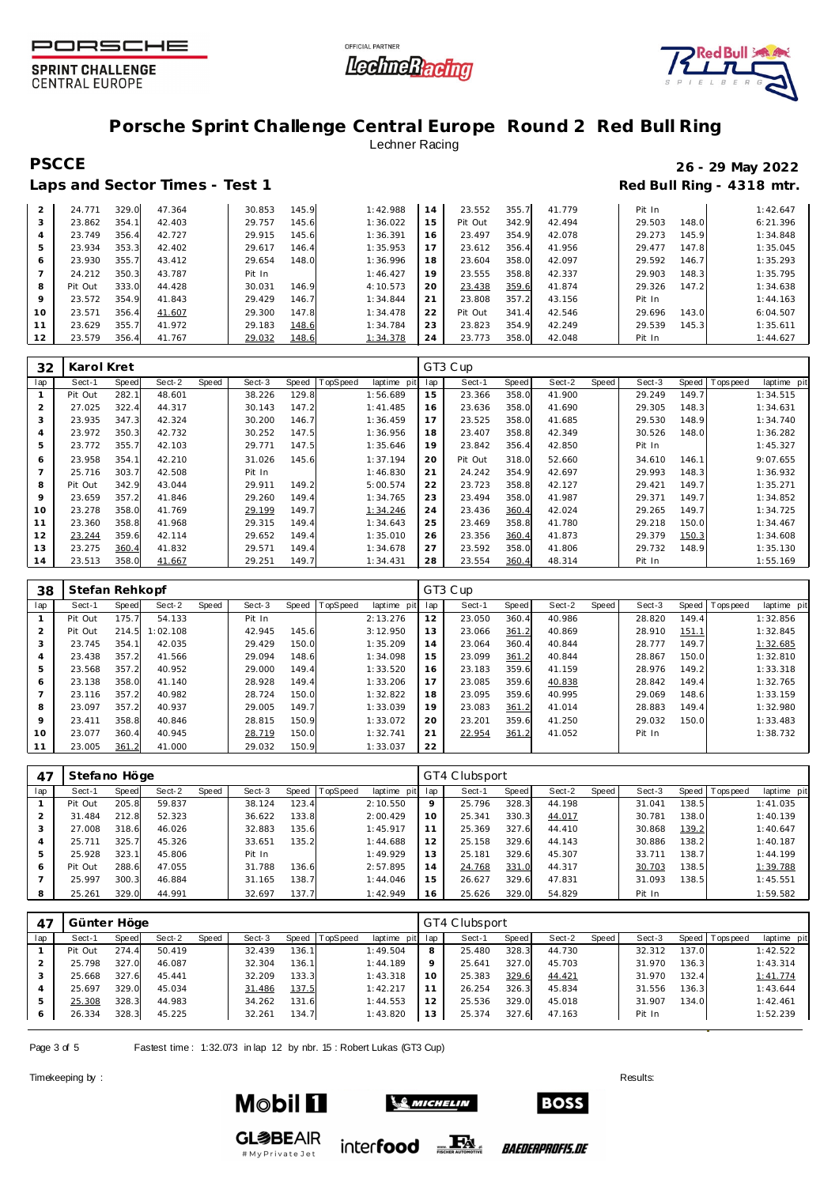





# **Porsche Sprint Challenge Central Europe Round 2 Red Bull Ring** Lechner Racing

### Laps and Sector Times - Test 1 **Red Bull Ring - 4318 mtr.**

# **PSCCE 26 - 29 May 2022**

| 2  | 24.771  | 329.0 | 47.364 | 30.853 | 145.9 | 1:42.988 | 14 | 23.552  | 355.7 | 41.779 | Pit In |       | 1:42.647 |
|----|---------|-------|--------|--------|-------|----------|----|---------|-------|--------|--------|-------|----------|
| 3  | 23.862  | 354.1 | 42.403 | 29.757 | 145.6 | 1:36.022 | 15 | Pit Out | 342.9 | 42.494 | 29.503 | 148.0 | 6:21.396 |
| 4  | 23.749  | 356.4 | 42.727 | 29.915 | 145.6 | 1:36.391 | 16 | 23.497  | 354.9 | 42.078 | 29.273 | 145.9 | 1:34.848 |
| 5  | 23.934  | 353.3 | 42.402 | 29.617 | 146.4 | 1:35.953 | 17 | 23.612  | 356.4 | 41.956 | 29.477 | 147.8 | 1:35.045 |
| 6  | 23.930  | 355.7 | 43.412 | 29.654 | 148.0 | 1:36.996 | 18 | 23.604  | 358.0 | 42.097 | 29.592 | 146.7 | 1:35.293 |
|    | 24.212  | 350.3 | 43.787 | Pit In |       | 1:46.427 | 19 | 23.555  | 358.8 | 42.337 | 29.903 | 148.3 | 1:35.795 |
| 8  | Pit Out | 333.0 | 44.428 | 30.031 | 146.9 | 4:10.573 | 20 | 23.438  | 359.6 | 41.874 | 29.326 | 147.2 | 1:34.638 |
| 9  | 23.572  | 354.9 | 41.843 | 29.429 | 146.7 | 1:34.844 | 21 | 23.808  | 357.2 | 43.156 | Pit In |       | 1:44.163 |
| 10 | 23.571  | 356.4 | 41.607 | 29.300 | 147.8 | 1:34.478 | 22 | Pit Out | 341.4 | 42.546 | 29.696 | 143.0 | 6:04.507 |
|    | 23.629  | 355.7 | 41.972 | 29.183 | 148.6 | 1:34.784 | 23 | 23.823  | 354.9 | 42.249 | 29.539 | 145.3 | 1:35.611 |
| 12 | 23.579  | 356.4 | 41.767 | 29.032 | 148.6 | 1:34.378 | 24 | 23.773  | 358.0 | 42.048 | Pit In |       | 1:44.627 |

| 32  | Karol Kret |              |        |       |        |       |          |             |     | GT3 Cup |       |        |       |        |       |                   |             |
|-----|------------|--------------|--------|-------|--------|-------|----------|-------------|-----|---------|-------|--------|-------|--------|-------|-------------------|-------------|
| lap | Sect-1     | <b>Speed</b> | Sect-2 | Speed | Sect-3 | Speed | TopSpeed | laptime pit | lap | Sect-1  | Speed | Sect-2 | Speed | Sect-3 |       | Speed   Tops peed | laptime pit |
|     | Pit Out    | 282.1        | 48.601 |       | 38.226 | 129.8 |          | 1:56.689    | 15  | 23.366  | 358.0 | 41.900 |       | 29.249 | 149.7 |                   | 1:34.515    |
| 2   | 27.025     | 322.4        | 44.317 |       | 30.143 | 147.2 |          | 1:41.485    | 16  | 23.636  | 358.0 | 41.690 |       | 29.305 | 148.3 |                   | 1:34.631    |
| 3   | 23.935     | 347.3        | 42.324 |       | 30.200 | 146.7 |          | 1:36.459    | 17  | 23.525  | 358.0 | 41.685 |       | 29.530 | 148.9 |                   | 1:34.740    |
| 4   | 23.972     | 350.3        | 42.732 |       | 30.252 | 147.5 |          | 1:36.956    | 18  | 23.407  | 358.8 | 42.349 |       | 30.526 | 148.0 |                   | 1:36.282    |
| 5   | 23.772     | 355.7        | 42.103 |       | 29.771 | 147.5 |          | 1:35.646    | 19  | 23.842  | 356.4 | 42.850 |       | Pit In |       |                   | 1:45.327    |
| 6   | 23.958     | 354.1        | 42.210 |       | 31.026 | 145.6 |          | 1:37.194    | 20  | Pit Out | 318.0 | 52.660 |       | 34.610 | 146.1 |                   | 9:07.655    |
|     | 25.716     | 303.7        | 42.508 |       | Pit In |       |          | 1:46.830    | 21  | 24.242  | 354.9 | 42.697 |       | 29.993 | 148.3 |                   | 1:36.932    |
| 8   | Pit Out    | 342.9        | 43.044 |       | 29.911 | 149.2 |          | 5:00.574    | 22  | 23.723  | 358.8 | 42.127 |       | 29.421 | 149.7 |                   | 1:35.271    |
| 9   | 23.659     | 357.2        | 41.846 |       | 29.260 | 149.4 |          | 1:34.765    | 23  | 23.494  | 358.0 | 41.987 |       | 29.371 | 149.7 |                   | 1:34.852    |
| 10  | 23.278     | 358.0        | 41.769 |       | 29.199 | 149.7 |          | 1:34.246    | 24  | 23.436  | 360.4 | 42.024 |       | 29.265 | 149.7 |                   | 1:34.725    |
| 11  | 23.360     | 358.8        | 41.968 |       | 29.315 | 149.4 |          | 1:34.643    | 25  | 23.469  | 358.8 | 41.780 |       | 29.218 | 150.0 |                   | 1:34.467    |
| 12  | 23.244     | 359.6        | 42.114 |       | 29.652 | 149.4 |          | 1:35.010    | 26  | 23.356  | 360.4 | 41.873 |       | 29.379 | 150.3 |                   | 1:34.608    |
| 13  | 23.275     | 360.4        | 41.832 |       | 29.571 | 149.4 |          | 1:34.678    | 27  | 23.592  | 358.0 | 41.806 |       | 29.732 | 148.9 |                   | 1:35.130    |
| 14  | 23.513     | 358.0        | 41.667 |       | 29.251 | 149.7 |          | 1:34.431    | 28  | 23.554  | 360.4 | 48.314 |       | Pit In |       |                   | 1:55.169    |

| 38             | Stefan Rehkopf |       |          |       |        |       |          |             |     | GT3 Cup |       |        |       |        |       |                |             |
|----------------|----------------|-------|----------|-------|--------|-------|----------|-------------|-----|---------|-------|--------|-------|--------|-------|----------------|-------------|
| lap            | Sect-1         | Speed | Sect-2   | Speed | Sect-3 | Speed | TopSpeed | laptime pit | lap | Sect-1  | Speed | Sect-2 | Speed | Sect-3 |       | Speed Topspeed | laptime pit |
|                | Pit Out        | 175.7 | 54.133   |       | Pit In |       |          | 2:13.276    | 12  | 23.050  | 360.4 | 40.986 |       | 28.820 | 149.4 |                | 1:32.856    |
| 2              | Pit Out        | 214.5 | 1:02.108 |       | 42.945 | 145.6 |          | 3:12.950    | 13  | 23.066  | 361.2 | 40.869 |       | 28.910 | 151.1 |                | 1:32.845    |
| 3              | 23.745         | 354.1 | 42.035   |       | 29.429 | 150.0 |          | 1:35.209    | 14  | 23.064  | 360.4 | 40.844 |       | 28.777 | 149.7 |                | 1:32.685    |
| $\overline{4}$ | 23.438         | 357.2 | 41.566   |       | 29.094 | 148.6 |          | 1:34.098    | 15  | 23.099  | 361.2 | 40.844 |       | 28.867 | 150.0 |                | 1:32.810    |
| 5              | 23.568         | 357.2 | 40.952   |       | 29.000 | 149.4 |          | 1:33.520    | 16  | 23.183  | 359.6 | 41.159 |       | 28.976 | 149.2 |                | 1:33.318    |
| 6              | 23.138         | 358.0 | 41.140   |       | 28.928 | 149.4 |          | 1:33.206    | 17  | 23.085  | 359.6 | 40.838 |       | 28.842 | 149.4 |                | 1:32.765    |
|                | 23.116         | 357.2 | 40.982   |       | 28.724 | 150.0 |          | 1:32.822    | 18  | 23.095  | 359.6 | 40.995 |       | 29.069 | 148.6 |                | 1:33.159    |
| 8              | 23.097         | 357.2 | 40.937   |       | 29.005 | 149.7 |          | 1:33.039    | 19  | 23.083  | 361.2 | 41.014 |       | 28.883 | 149.4 |                | 1:32.980    |
| 9              | 23.411         | 358.8 | 40.846   |       | 28.815 | 150.9 |          | 1:33.072    | 20  | 23.201  | 359.6 | 41.250 |       | 29.032 | 150.0 |                | 1:33.483    |
| 10             | 23.077         | 360.4 | 40.945   |       | 28.719 | 150.0 |          | 1:32.741    | 21  | 22.954  | 361.2 | 41.052 |       | Pit In |       |                | 1:38.732    |
| 11             | 23.005         | 361.2 | 41.000   |       | 29.032 | 150.9 |          | 1:33.037    | 22  |         |       |        |       |        |       |                |             |

| $4^-$ | Stefano Höge |       |        |       |        |       |          |             |         | GT4 Clubsport |       |        |       |        |       |                 |             |
|-------|--------------|-------|--------|-------|--------|-------|----------|-------------|---------|---------------|-------|--------|-------|--------|-------|-----------------|-------------|
| lap   | Sect-1       | Speed | Sect-2 | Speed | Sect-3 | Speed | TopSpeed | laptime pit | lap     | Sect-1        | Speed | Sect-2 | Speed | Sect-3 |       | Speed Tops peed | laptime pit |
|       | Pit Out      | 205.8 | 59.837 |       | 38.124 | 123.4 |          | 2:10.550    | $\circ$ | 25.796        | 328.3 | 44.198 |       | 31.041 | 138.5 |                 | 1:41.035    |
|       | .484<br>31   | 212.8 | 52.323 |       | 36.622 | 133.8 |          | 2:00.429    | 10      | 25.341        | 330.3 | 44.017 |       | 30.781 | 138.0 |                 | 1:40.139    |
|       | 27.008       | 318.6 | 46.026 |       | 32.883 | 135.6 |          | 1:45.917    |         | 25.369        | 327.6 | 44.410 |       | 30.868 | 139.2 |                 | 1:40.647    |
| 4     | 25.711       | 325.7 | 45.326 |       | 33.651 | 135.2 |          | 1:44.688    | 12      | 25.158        | 329.6 | 44.143 |       | 30.886 | 138.2 |                 | 1:40.187    |
| 5     | 25.928       | 323.1 | 45.806 |       | Pit In |       |          | 1:49.929    | 13      | 25.181        | 329.6 | 45.307 |       | 33.711 | 138.7 |                 | 1:44.199    |
| 6     | Pit Out      | 288.6 | 47.055 |       | 31.788 | 136.6 |          | 2:57.895    | 14      | 24.768        | 331.0 | 44.317 |       | 30.703 | 138.5 |                 | 1:39.788    |
|       | 25.997       | 300.3 | 46.884 |       | 31.165 | 138.7 |          | 1:44.046    | 15      | 26.627        | 329.6 | 47.831 |       | 31.093 | 138.5 |                 | 1:45.551    |
| 8     | 25.261       | 329.0 | 44.991 |       | 32.697 | 137.7 |          | 1:42.949    | 16      | 25.626        | 329.0 | 54.829 |       | Pit In |       |                 | 1:59.582    |

| 47  | Günter Höge |              |        |       |        |           |          |                 |    | GT4 Clubsport |       |        |       |        |       |                 |             |
|-----|-------------|--------------|--------|-------|--------|-----------|----------|-----------------|----|---------------|-------|--------|-------|--------|-------|-----------------|-------------|
| lap | Sect-1      | <b>Speed</b> | Sect-2 | Speed | Sect-3 | Speed   T | TopSpeed | laptime pit lap |    | Sect-1        | Speed | Sect-2 | Speed | Sect-3 |       | Speed Tops peed | laptime pit |
|     | Pit Out     | 274.4        | 50.419 |       | 32.439 | 136.1     |          | 1:49.504        |    | 25.480        | 328.3 | 44.730 |       | 32.312 | 137.0 |                 | 1:42.522    |
|     | 25.798      | 327.0        | 46.087 |       | 32.304 | 136.1     |          | 1:44.189        |    | 25.641        | 327.0 | 45.703 |       | 31.970 | 136.3 |                 | 1:43.314    |
|     | 25.668      | 327.6        | 45.441 |       | 32.209 | 133.3     |          | 1:43.318        | 10 | 25.383        | 329.6 | 44.421 |       | 31.970 | 132.4 |                 | 1:41.774    |
|     | 25.697      | 329.0        | 45.034 |       | 31.486 | 137.5     |          | 1:42.217        |    | 26.254        | 326.3 | 45.834 |       | 31.556 | 136.3 |                 | 1:43.644    |
|     | 25.308      | 328.3        | 44.983 |       | 34.262 | 131.6     |          | 1:44.553        | 12 | 25.536        | 329.0 | 45.018 |       | 31.907 | 134.0 |                 | 1:42.461    |
|     | 26.334      | 328.3        | 45.225 |       | 32.261 | 134.7     |          | 1:43.820        | 13 | 25.374        | 327.6 | 47.163 |       | Pit In |       |                 | 1:52.239    |
|     |             |              |        |       |        |           |          |                 |    |               |       |        |       |        |       |                 |             |

Page 3 of 5 Fastest time: 1:32.073 in lap 12 by nbr. 15 : Robert Lukas (GT3 Cup)

Timekeeping by : Results:  $\blacksquare$ 



# My Private Jet



**BOSS** 

*BAEDERPROFIS.DE*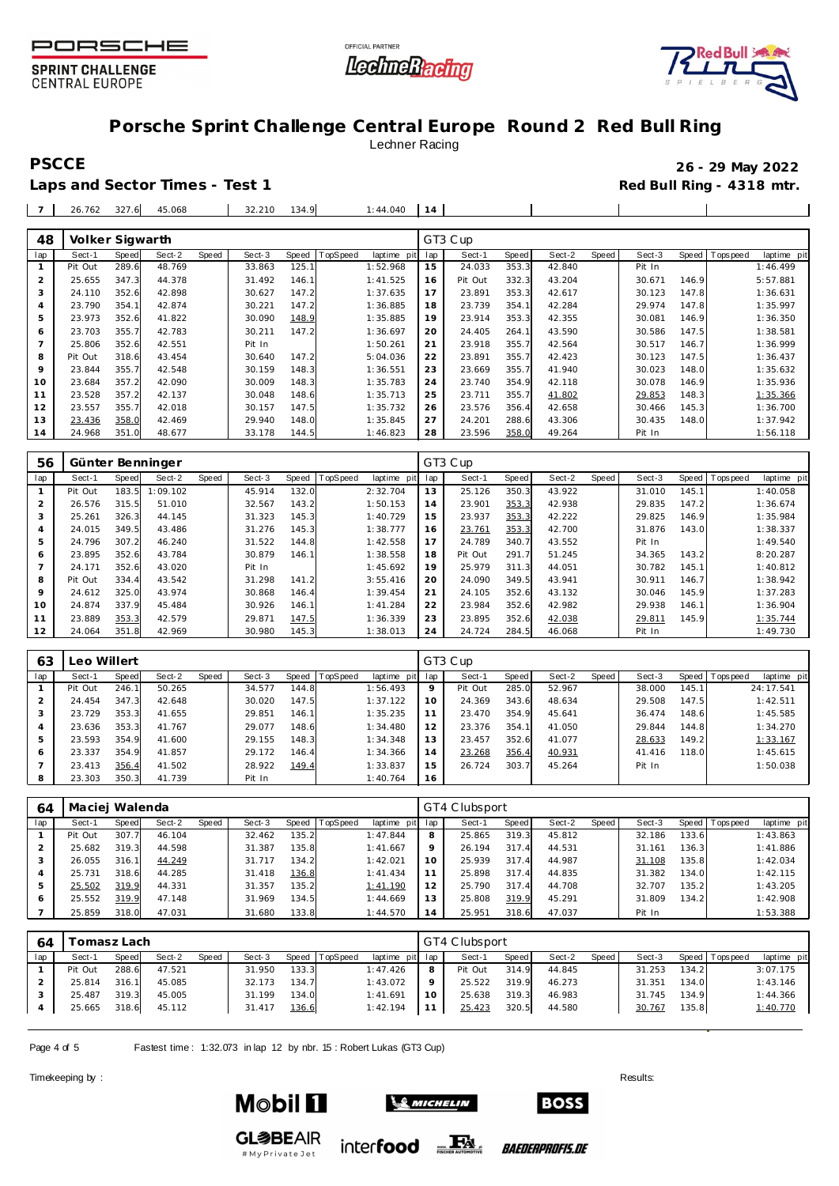





## **Porsche Sprint Challenge Central Europe Round 2 Red Bull Ring** Lechner Racing

Laps and Sector Times - Test 1 **Red Bull Ring - 4318 mtr. Red Bull Ring - 4318 mtr.** 

**PSCCE 26 - 29 May 2022**

| $\overline{\phantom{a}}$ | 26.762 | 327.6 | 45.068 | 32.210 | 134.9<br>$\alpha$ | 1:44.040 |  |  |  |
|--------------------------|--------|-------|--------|--------|-------------------|----------|--|--|--|
|                          |        |       |        |        |                   |          |  |  |  |

| 48  | Volker Sigwarth |       |        |       |        |       |                 |             |     | GT3 Cup |       |        |       |        |       |                  |             |
|-----|-----------------|-------|--------|-------|--------|-------|-----------------|-------------|-----|---------|-------|--------|-------|--------|-------|------------------|-------------|
| lap | Sect-1          | Speed | Sect-2 | Speed | Sect-3 | Speed | <b>TopSpeed</b> | laptime pit | lap | Sect-1  | Speed | Sect-2 | Speed | Sect-3 |       | Speed   Topspeed | laptime pit |
|     | Pit Out         | 289.6 | 48.769 |       | 33.863 | 125.1 |                 | 1:52.968    | 15  | 24.033  | 353.3 | 42.840 |       | Pit In |       |                  | 1:46.499    |
| 2   | 25.655          | 347.3 | 44.378 |       | 31.492 | 146.1 |                 | 1:41.525    | 16  | Pit Out | 332.3 | 43.204 |       | 30.671 | 146.9 |                  | 5:57.881    |
| 3   | 24.110          | 352.6 | 42.898 |       | 30.627 | 147.2 |                 | 1:37.635    | 17  | 23.891  | 353.3 | 42.617 |       | 30.123 | 147.8 |                  | 1:36.631    |
| 4   | 23.790          | 354.1 | 42.874 |       | 30.221 | 147.2 |                 | 1:36.885    | 18  | 23.739  | 354.1 | 42.284 |       | 29.974 | 147.8 |                  | 1:35.997    |
| 5   | 23.973          | 352.6 | 41.822 |       | 30.090 | 148.9 |                 | 1:35.885    | 19  | 23.914  | 353.3 | 42.355 |       | 30.081 | 146.9 |                  | 1:36.350    |
| 6   | 23.703          | 355.7 | 42.783 |       | 30.211 | 147.2 |                 | 1:36.697    | 20  | 24.405  | 264.1 | 43.590 |       | 30.586 | 147.5 |                  | 1:38.581    |
|     | 25.806          | 352.6 | 42.551 |       | Pit In |       |                 | 1:50.261    | 21  | 23.918  | 355.7 | 42.564 |       | 30.517 | 146.7 |                  | 1:36.999    |
| 8   | Pit Out         | 318.6 | 43.454 |       | 30.640 | 147.2 |                 | 5:04.036    | 22  | 23.891  | 355.7 | 42.423 |       | 30.123 | 147.5 |                  | 1:36.437    |
| 9   | 23.844          | 355.7 | 42.548 |       | 30.159 | 148.3 |                 | 1:36.551    | 23  | 23.669  | 355.7 | 41.940 |       | 30.023 | 148.0 |                  | 1:35.632    |
| 10  | 23.684          | 357.2 | 42.090 |       | 30.009 | 148.3 |                 | 1:35.783    | 24  | 23.740  | 354.9 | 42.118 |       | 30.078 | 146.9 |                  | 1:35.936    |
| 11  | 23.528          | 357.2 | 42.137 |       | 30.048 | 148.6 |                 | 1:35.713    | 25  | 23.711  | 355.7 | 41.802 |       | 29.853 | 148.3 |                  | 1:35.366    |
| 12  | 23.557          | 355.7 | 42.018 |       | 30.157 | 147.5 |                 | 1:35.732    | 26  | 23.576  | 356.4 | 42.658 |       | 30.466 | 145.3 |                  | 1:36.700    |
| 13  | 23.436          | 358.0 | 42.469 |       | 29.940 | 148.0 |                 | 1:35.845    | 27  | 24.201  | 288.6 | 43.306 |       | 30.435 | 148.0 |                  | 1:37.942    |
| 14  | 24.968          | 351.0 | 48.677 |       | 33.178 | 144.5 |                 | 1:46.823    | 28  | 23.596  | 358.0 | 49.264 |       | Pit In |       |                  | 1:56.118    |

| 56             |         |       | Günter Benninger |       |        |       |          |             |     | GT3 Cup |       |        |       |        |       |           |             |
|----------------|---------|-------|------------------|-------|--------|-------|----------|-------------|-----|---------|-------|--------|-------|--------|-------|-----------|-------------|
| lap            | Sect-1  | Speed | Sect-2           | Speed | Sect-3 | Speed | TopSpeed | laptime pit | lap | Sect-1  | Speed | Sect-2 | Speed | Sect-3 | Speed | Tops peed | laptime pit |
|                | Pit Out | 183.5 | 1:09.102         |       | 45.914 | 132.0 |          | 2:32.704    | 13  | 25.126  | 350.3 | 43.922 |       | 31.010 | 145.1 |           | 1:40.058    |
| $\overline{2}$ | 26.576  | 315.5 | 51.010           |       | 32.567 | 143.2 |          | 1:50.153    | 14  | 23.901  | 353.3 | 42.938 |       | 29.835 | 147.2 |           | 1:36.674    |
| 3              | 25.261  | 326.3 | 44.145           |       | 31.323 | 145.3 |          | 1:40.729    | 15  | 23.937  | 353.3 | 42.222 |       | 29.825 | 146.9 |           | 1:35.984    |
| 4              | 24.015  | 349.5 | 43.486           |       | 31.276 | 145.3 |          | 1:38.777    | 16  | 23.761  | 353.3 | 42.700 |       | 31.876 | 143.0 |           | 1:38.337    |
| 5              | 24.796  | 307.2 | 46.240           |       | 31.522 | 144.8 |          | 1:42.558    | 17  | 24.789  | 340.7 | 43.552 |       | Pit In |       |           | 1:49.540    |
| 6              | 23.895  | 352.6 | 43.784           |       | 30.879 | 146.1 |          | 1:38.558    | 18  | Pit Out | 291.7 | 51.245 |       | 34.365 | 143.2 |           | 8:20.287    |
|                | 24.171  | 352.6 | 43.020           |       | Pit In |       |          | 1:45.692    | 19  | 25.979  | 311.3 | 44.051 |       | 30.782 | 145.1 |           | 1:40.812    |
| 8              | Pit Out | 334.4 | 43.542           |       | 31.298 | 141.2 |          | 3:55.416    | 20  | 24.090  | 349.5 | 43.941 |       | 30.911 | 146.7 |           | 1:38.942    |
| $\circ$        | 24.612  | 325.0 | 43.974           |       | 30.868 | 146.4 |          | 1:39.454    | 21  | 24.105  | 352.6 | 43.132 |       | 30.046 | 145.9 |           | 1:37.283    |
| 10             | 24.874  | 337.9 | 45.484           |       | 30.926 | 146.1 |          | 1:41.284    | 22  | 23.984  | 352.6 | 42.982 |       | 29.938 | 146.1 |           | 1:36.904    |
| 11             | 23.889  | 353.3 | 42.579           |       | 29.871 | 147.5 |          | 1:36.339    | 23  | 23.895  | 352.6 | 42.038 |       | 29.811 | 145.9 |           | 1:35.744    |
| 12             | 24.064  | 351.8 | 42.969           |       | 30.980 | 145.3 |          | 1:38.013    | 24  | 24.724  | 284.5 | 46.068 |       | Pit In |       |           | 1:49.730    |

| 63  | Leo Willert |              |        |       |        |           |                 |             |     | GT3 Cup |       |        |       |        |       |                                  |
|-----|-------------|--------------|--------|-------|--------|-----------|-----------------|-------------|-----|---------|-------|--------|-------|--------|-------|----------------------------------|
| lap | Sect-1      | <b>Speed</b> | Sect-2 | Speed | Sect-3 | Speed   T | <b>TopSpeed</b> | laptime pit | lap | Sect-1  | Speed | Sect-2 | Speed | Sect-3 |       | Speed   Tops peed<br>laptime pit |
|     | Pit Out     | 246.1        | 50.265 |       | 34.577 | 144.8     |                 | 1:56.493    | 9   | Pit Out | 285.0 | 52.967 |       | 38,000 | 145.1 | 24:17.541                        |
|     | 24.454      | 347.3        | 42.648 |       | 30.020 | 147.5     |                 | 1:37.122    | 10  | 24.369  | 343.6 | 48.634 |       | 29.508 | 147.5 | 1:42.511                         |
|     | 23.729      | 353.3        | 41.655 |       | 29.851 | 146.1     |                 | 1:35.235    |     | 23.470  | 354.9 | 45.641 |       | 36.474 | 148.6 | 1:45.585                         |
|     | 23.636      | 353.3        | 41.767 |       | 29.077 | 148.6     |                 | 1:34.480    | 12  | 23.376  | 354.1 | 41.050 |       | 29.844 | 144.8 | 1:34.270                         |
|     | 23.593      | 354.9        | 41.600 |       | 29.155 | 148.3     |                 | 1:34.348    | 13  | 23.457  | 352.6 | 41.077 |       | 28.633 | 149.2 | 1:33.167                         |
| 6   | 23.337      | 354.9        | 41.857 |       | 29.172 | 146.4     |                 | 1:34.366    | 14  | 23.268  | 356.4 | 40.931 |       | 41.416 | 118.0 | 1:45.615                         |
|     | 23.413      | 356.4        | 41.502 |       | 28.922 | 149.4     |                 | 1:33.837    | 15  | 26.724  | 303.7 | 45.264 |       | Pit In |       | 1:50.038                         |
|     | 23.303      | 350.3        | 41.739 |       | Pit In |           |                 | 1:40.764    | 16  |         |       |        |       |        |       |                                  |

| 64  | Maciej Walenda |       |        |       |        |       |          |                 |         | GT4 Clubsport |       |        |       |        |       |                 |             |
|-----|----------------|-------|--------|-------|--------|-------|----------|-----------------|---------|---------------|-------|--------|-------|--------|-------|-----------------|-------------|
| lap | Sect-1         | Speed | Sect-2 | Speed | Sect-3 | Speed | TopSpeed | laptime pit lap |         | Sect-1        | Speed | Sect-2 | Speed | Sect-3 |       | Speed Tops peed | laptime pit |
|     | Pit Out        | 307.7 | 46.104 |       | 32.462 | 135.2 |          | 1:47.844        | 8       | 25.865        | 319.3 | 45.812 |       | 32.186 | 133.6 |                 | 1:43.863    |
|     | 25.682         | 319.3 | 44.598 |       | 31.387 | 135.8 |          | 1:41.667        | $\circ$ | 26.194        | 317.4 | 44.531 |       | 31.161 | 136.3 |                 | 1:41.886    |
|     | 26.055         | 316.1 | 44.249 |       | 31.717 | 134.2 |          | 1:42.021        | 10      | 25.939        | 317.4 | 44.987 |       | 31.108 | 135.8 |                 | 1:42.034    |
|     | 25.731         | 318.6 | 44.285 |       | 31.418 | 136.8 |          | 1:41.434        |         | 25.898        | 317.4 | 44.835 |       | 31.382 | 134.0 |                 | 1:42.115    |
|     | 25.502         | 319.9 | 44.331 |       | 31.357 | 135.2 |          | 1:41.190        | 12      | 25.790        | 317.4 | 44.708 |       | 32.707 | 135.2 |                 | 1:43.205    |
| 6   | 25.552         | 319.9 | 47.148 |       | 31.969 | 134.5 |          | 1:44.669        | 13      | 25.808        | 319.9 | 45.291 |       | 31.809 | 134.2 |                 | 1:42.908    |
|     | 25.859         | 318.0 | 47.031 |       | 31.680 | 133.8 |          | 1:44.570        | 14      | 25.951        | 318.6 | 47.037 |       | Pit In |       |                 | 1:53.388    |

| 64  |         | iomasz Lach |        |       |        |       |          |                 |    | GT4 Clubsport |       |        |       |        |       |                 |             |
|-----|---------|-------------|--------|-------|--------|-------|----------|-----------------|----|---------------|-------|--------|-------|--------|-------|-----------------|-------------|
| lap | Sect-1  | Speed       | Sect-2 | Speed | Sect-3 | Speed | TopSpeed | laptime pit lap |    | Sect-1        | Speed | Sect-2 | Speed | Sect-3 |       | Speed Tops peed | laptime pit |
|     | Pit Out | 288.6       | 47.521 |       | 31.950 | 133.3 |          | 1:47.426        | 8  | Pit Out       | 314.9 | 44.845 |       | 31.253 | 134.2 |                 | 3:07.175    |
|     | 25.814  | 316.1       | 45.085 |       | 32.173 | 134.7 |          | 1:43.072        |    | 25.522        | 319.9 | 46.273 |       | 31.351 | 134.0 |                 | 1:43.146    |
|     | 25.487  | 319.3       | 45.005 |       | 31.199 | 134.0 |          | 1:41.691        | 10 | 25.638        | 319.3 | 46.983 |       | 31.745 | 134.9 |                 | 1:44.366    |
|     | 25.665  | 318.6       | 45.112 |       | 31.417 | 136.6 |          | 1:42.194        |    | 25.423        | 320.5 | 44.580 |       | 30.767 | 135.8 |                 | 1:40.770    |
|     |         |             |        |       |        |       |          |                 |    |               |       |        |       |        |       |                 |             |

Page 4 of 5 Fastest time: 1:32.073 in lap 12 by nbr. 15: Robert Lukas (GT3 Cup)

Timekeeping by : Results:  $\blacksquare$ 



# My Private Jet



inter**food** FALL

*BAEDERPROFIS.DE* 

**BOSS**